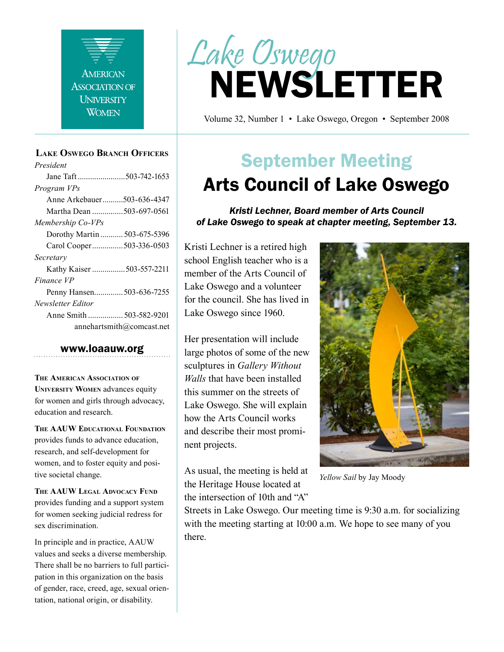

#### **Lake Oswego Branch Officers**

*President* Jane Taft .......................503-742-1653 *Program VPs* Anne Arkebauer..........503-636-4347 Martha Dean ...............503-697-0561 *Membership Co-VPs* Dorothy Martin ........... 503-675-5396 Carol Cooper...............503-336-0503 *Secretary* Kathy Kaiser ................503-557-2211 *Finance VP* Penny Hansen..............503-636-7255 *Newsletter Editor* Anne Smith ................. 503-582-9201 annehartsmith@comcast.net

#### www.loaauw.org

**The American Association of University Women** advances equity for women and girls through advocacy, education and research.

**The AAUW Educational Foundation** provides funds to advance education, research, and self-development for women, and to foster equity and positive societal change.

**The AAUW Legal Advocacy Fund** provides funding and a support system for women seeking judicial redress for sex discrimination.

In principle and in practice, AAUW values and seeks a diverse membership. There shall be no barriers to full participation in this organization on the basis of gender, race, creed, age, sexual orientation, national origin, or disability.



Volume 32, Number 1 • Lake Oswego, Oregon • September 2008

# September Meeting Arts Council of Lake Oswego

*Kristi Lechner, Board member of Arts Council of Lake Oswego to speak at chapter meeting, September 13.*

Kristi Lechner is a retired high school English teacher who is a member of the Arts Council of Lake Oswego and a volunteer for the council. She has lived in Lake Oswego since 1960.

Her presentation will include large photos of some of the new sculptures in *Gallery Without Walls* that have been installed this summer on the streets of Lake Oswego. She will explain how the Arts Council works and describe their most prominent projects.

As usual, the meeting is held at the Heritage House located at the intersection of 10th and "A"



*Yellow Sail* by Jay Moody

Streets in Lake Oswego. Our meeting time is 9:30 a.m. for socializing with the meeting starting at 10:00 a.m. We hope to see many of you there.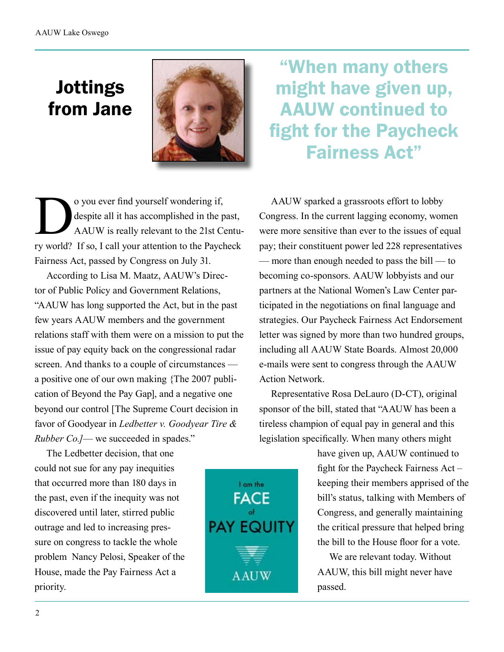## Jottings from Jane



o you ever find yourself wondering if,<br>despite all it has accomplished in the p<br>AAUW is really relevant to the 21st Ce<br>ry world? If so I call your attention to the Paych despite all it has accomplished in the past, AAUW is really relevant to the 21st Century world? If so, I call your attention to the Paycheck Fairness Act, passed by Congress on July 31.

According to Lisa M. Maatz, AAUW's Director of Public Policy and Government Relations, "AAUW has long supported the Act, but in the past few years AAUW members and the government relations staff with them were on a mission to put the issue of pay equity back on the congressional radar screen. And thanks to a couple of circumstances a positive one of our own making {The 2007 publication of Beyond the Pay Gap], and a negative one beyond our control [The Supreme Court decision in favor of Goodyear in *Ledbetter v. Goodyear Tire & Rubber Co.]*— we succeeded in spades."

The Ledbetter decision, that one could not sue for any pay inequities that occurred more than 180 days in the past, even if the inequity was not discovered until later, stirred public outrage and led to increasing pressure on congress to tackle the whole problem Nancy Pelosi, Speaker of the House, made the Pay Fairness Act a

"When many others might have given up, AAUW continued to fight for the Paycheck Fairness Act"

AAUW sparked a grassroots effort to lobby Congress. In the current lagging economy, women were more sensitive than ever to the issues of equal pay; their constituent power led 228 representatives — more than enough needed to pass the bill — to becoming co-sponsors. AAUW lobbyists and our partners at the National Women's Law Center participated in the negotiations on final language and strategies. Our Paycheck Fairness Act Endorsement letter was signed by more than two hundred groups, including all AAUW State Boards. Almost 20,000 e-mails were sent to congress through the AAUW Action Network.

Representative Rosa DeLauro (D-CT), original sponsor of the bill, stated that "AAUW has been a tireless champion of equal pay in general and this legislation specifically. When many others might

> have given up, AAUW continued to fight for the Paycheck Fairness Act – keeping their members apprised of the bill's status, talking with Members of Congress, and generally maintaining the critical pressure that helped bring the bill to the House floor for a vote.

We are relevant today. Without AAUW, this bill might never have passed.



priority.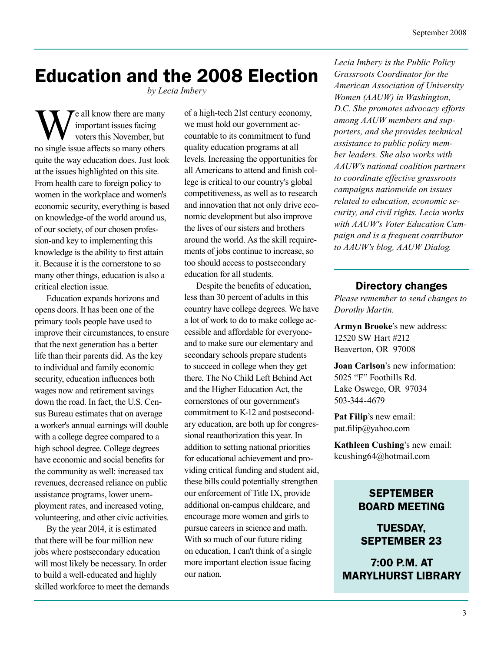## Education and the 2008 Election

*by Lecia Imbery* 

We all know there are many<br>
voters this November, but<br>
no single issue affects so many others important issues facing voters this November, but quite the way education does. Just look at the issues highlighted on this site. From health care to foreign policy to women in the workplace and women's economic security, everything is based on knowledge-of the world around us, of our society, of our chosen profession-and key to implementing this knowledge is the ability to first attain it. Because it is the cornerstone to so many other things, education is also a critical election issue.

Education expands horizons and opens doors. It has been one of the primary tools people have used to improve their circumstances, to ensure that the next generation has a better life than their parents did. As the key to individual and family economic security, education influences both wages now and retirement savings down the road. In fact, the U.S. Census Bureau estimates that on average a worker's annual earnings will double with a college degree compared to a high school degree. College degrees have economic and social benefits for the community as well: increased tax revenues, decreased reliance on public assistance programs, lower unemployment rates, and increased voting, volunteering, and other civic activities.

By the year 2014, it is estimated that there will be four million new jobs where postsecondary education will most likely be necessary. In order to build a well-educated and highly skilled workforce to meet the demands of a high-tech 21st century economy, we must hold our government accountable to its commitment to fund quality education programs at all levels. Increasing the opportunities for all Americans to attend and finish college is critical to our country's global competitiveness, as well as to research and innovation that not only drive economic development but also improve the lives of our sisters and brothers around the world. As the skill requirements of jobs continue to increase, so too should access to postsecondary education for all students.

Despite the benefits of education, less than 30 percent of adults in this country have college degrees. We have a lot of work to do to make college accessible and affordable for everyoneand to make sure our elementary and secondary schools prepare students to succeed in college when they get there. The No Child Left Behind Act and the Higher Education Act, the cornerstones of our government's commitment to K-12 and postsecondary education, are both up for congressional reauthorization this year. In addition to setting national priorities for educational achievement and providing critical funding and student aid, these bills could potentially strengthen our enforcement of Title IX, provide additional on-campus childcare, and encourage more women and girls to pursue careers in science and math. With so much of our future riding on education, I can't think of a single more important election issue facing our nation.

*Lecia Imbery is the Public Policy Grassroots Coordinator for the American Association of University Women (AAUW) in Washington, D.C. She promotes advocacy efforts among AAUW members and supporters, and she provides technical assistance to public policy member leaders. She also works with AAUW's national coalition partners to coordinate effective grassroots campaigns nationwide on issues related to education, economic security, and civil rights. Lecia works with AAUW's Voter Education Campaign and is a frequent contributor to AAUW's blog, AAUW Dialog.* 

### Directory changes

*Please remember to send changes to Dorothy Martin.*

**Armyn Brooke**'s new address: 12520 SW Hart #212 Beaverton, OR 97008

**Joan Carlson**'s new information: 5025 "F" Foothills Rd. Lake Oswego, OR 97034 503-344-4679

**Pat Filip**'s new email: pat.filip@yahoo.com

**Kathleen Cushing**'s new email: kcushing64@hotmail.com

## **SEPTEMBER** BOARD MEETING

TUESDAY, SEPTEMBER 23

7:00 P.M. AT MARYLHURST LIBRARY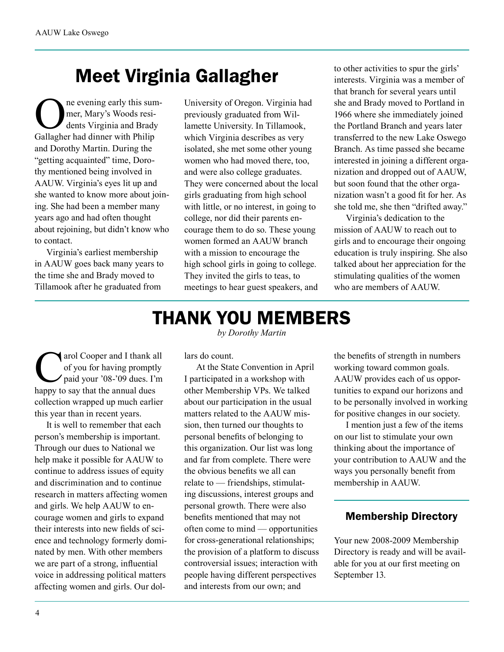# Meet Virginia Gallagher

ne evening early this summer, Mary's Woods residents Virginia and Brady Gallagher had dinner with Philip and Dorothy Martin. During the "getting acquainted" time, Dorothy mentioned being involved in AAUW. Virginia's eyes lit up and she wanted to know more about joining. She had been a member many years ago and had often thought about rejoining, but didn't know who to contact.

Virginia's earliest membership in AAUW goes back many years to the time she and Brady moved to Tillamook after he graduated from

University of Oregon. Virginia had previously graduated from Willamette University. In Tillamook, which Virginia describes as very isolated, she met some other young women who had moved there, too, and were also college graduates. They were concerned about the local girls graduating from high school with little, or no interest, in going to college, nor did their parents encourage them to do so. These young women formed an AAUW branch with a mission to encourage the high school girls in going to college. They invited the girls to teas, to meetings to hear guest speakers, and

to other activities to spur the girls' interests. Virginia was a member of that branch for several years until she and Brady moved to Portland in 1966 where she immediately joined the Portland Branch and years later transferred to the new Lake Oswego Branch. As time passed she became interested in joining a different organization and dropped out of AAUW, but soon found that the other organization wasn't a good fit for her. As she told me, she then "drifted away."

Virginia's dedication to the mission of AAUW to reach out to girls and to encourage their ongoing education is truly inspiring. She also talked about her appreciation for the stimulating qualities of the women who are members of AAUW.

## THANK YOU MEMBERS *by Dorothy Martin*

arol Cooper and I thank all<br>of you for having promptly<br>paid your '08-'09 dues. I'm of you for having promptly paid your '08-'09 dues. I'm happy to say that the annual dues collection wrapped up much earlier this year than in recent years.

It is well to remember that each person's membership is important. Through our dues to National we help make it possible for AAUW to continue to address issues of equity and discrimination and to continue research in matters affecting women and girls. We help AAUW to encourage women and girls to expand their interests into new fields of science and technology formerly dominated by men. With other members we are part of a strong, influential voice in addressing political matters affecting women and girls. Our dollars do count.

At the State Convention in April I participated in a workshop with other Membership VPs. We talked about our participation in the usual matters related to the AAUW mission, then turned our thoughts to personal benefits of belonging to this organization. Our list was long and far from complete. There were the obvious benefits we all can relate to — friendships, stimulating discussions, interest groups and personal growth. There were also benefits mentioned that may not often come to mind — opportunities for cross-generational relationships; the provision of a platform to discuss controversial issues; interaction with people having different perspectives and interests from our own; and

the benefits of strength in numbers working toward common goals. AAUW provides each of us opportunities to expand our horizons and to be personally involved in working for positive changes in our society.

I mention just a few of the items on our list to stimulate your own thinking about the importance of your contribution to AAUW and the ways you personally benefit from membership in AAUW.

## Membership Directory

Your new 2008-2009 Membership Directory is ready and will be available for you at our first meeting on September 13.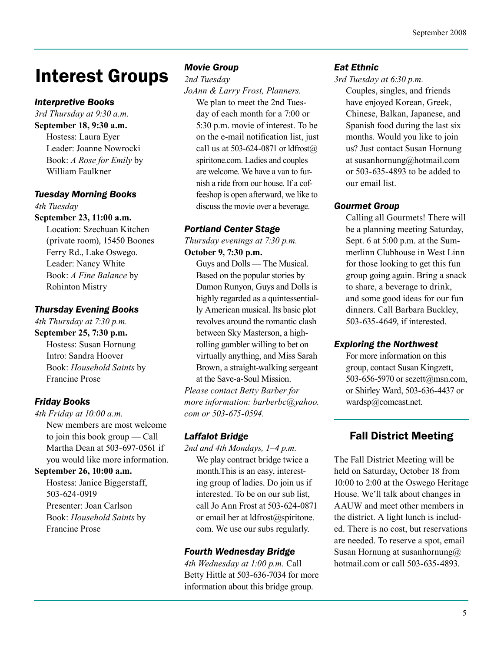#### September 2008

## Interest Groups

## *Interpretive Books*

*3rd Thursday at 9:30 a.m.* **September 18, 9:30 a.m.** Hostess: Laura Eyer Leader: Joanne Nowrocki Book: *A Rose for Emily* by William Faulkner

### *Tuesday Morning Books*

*4th Tuesday*

**September 23, 11:00 a.m.** Location: Szechuan Kitchen

(private room), 15450 Boones Ferry Rd., Lake Oswego. Leader: Nancy White Book: *A Fine Balance* by Rohinton Mistry

## *Thursday Evening Books*

*4th Thursday at 7:30 p.m.* **September 25, 7:30 p.m.** Hostess: Susan Hornung Intro: Sandra Hoover Book: *Household Saints* by Francine Prose

## *Friday Books*

*4th Friday at 10:00 a.m.* New members are most welcome to join this book group — Call Martha Dean at 503-697-0561 if you would like more information.

### **September 26, 10:00 a.m.**

Hostess: Janice Biggerstaff, 503-624-0919 Presenter: Joan Carlson Book: *Household Saints* by Francine Prose

#### *Movie Group*

*2nd Tuesday*

*JoAnn & Larry Frost, Planners.* We plan to meet the 2nd Tuesday of each month for a 7:00 or 5:30 p.m. movie of interest. To be on the e-mail notification list, just call us at 503-624-0871 or ldfrost $@$ spiritone.com. Ladies and couples are welcome. We have a van to furnish a ride from our house. If a coffeeshop is open afterward, we like to discuss the movie over a beverage.

#### *Portland Center Stage*

*Thursday evenings at 7:30 p.m.* **October 9, 7:30 p.m.**

Guys and Dolls — The Musical. Based on the popular stories by Damon Runyon, Guys and Dolls is highly regarded as a quintessentially American musical. Its basic plot revolves around the romantic clash between Sky Masterson, a highrolling gambler willing to bet on virtually anything, and Miss Sarah Brown, a straight-walking sergeant at the Save-a-Soul Mission. *Please contact Betty Barber for more information: barberbc@yahoo.*

*com or 503-675-0594.* 

### *Laffalot Bridge*

*2nd and 4th Mondays, 1–4 p.m.* We play contract bridge twice a month.This is an easy, interesting group of ladies. Do join us if interested. To be on our sub list, call Jo Ann Frost at 503-624-0871 or email her at ldfrost@spiritone. com. We use our subs regularly.

### *Fourth Wednesday Bridge*

*4th Wednesday at 1:00 p.m.* Call Betty Hittle at 503-636-7034 for more information about this bridge group.

#### *Eat Ethnic*

*3rd Tuesday at 6:30 p.m.* Couples, singles, and friends have enjoyed Korean, Greek, Chinese, Balkan, Japanese, and Spanish food during the last six months. Would you like to join us? Just contact Susan Hornung at susanhornung@hotmail.com or 503-635-4893 to be added to our email list.

#### *Gourmet Group*

Calling all Gourmets! There will be a planning meeting Saturday, Sept. 6 at 5:00 p.m. at the Summerlinn Clubhouse in West Linn for those looking to get this fun group going again. Bring a snack to share, a beverage to drink, and some good ideas for our fun dinners. Call Barbara Buckley, 503-635-4649, if interested.

### *Exploring the Northwest*

For more information on this group, contact Susan Kingzett, 503-656-5970 or sezett@msn.com, or Shirley Ward, 503-636-4437 or wardsp@comcast.net.

## Fall District Meeting

The Fall District Meeting will be held on Saturday, October 18 from 10:00 to 2:00 at the Oswego Heritage House. We'll talk about changes in AAUW and meet other members in the district. A light lunch is included. There is no cost, but reservations are needed. To reserve a spot, email Susan Hornung at susanhornung $@$ hotmail.com or call 503-635-4893.